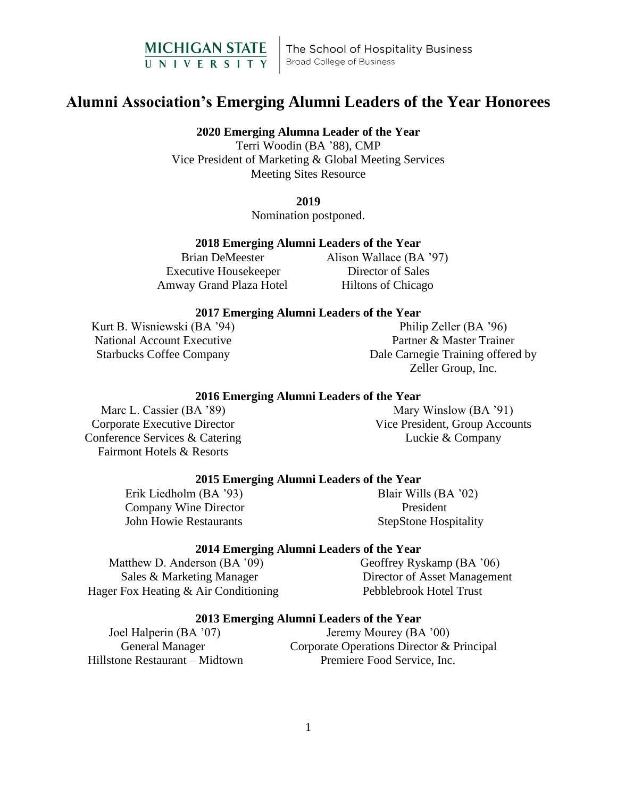

# **Alumni Association's Emerging Alumni Leaders of the Year Honorees**

**2020 Emerging Alumna Leader of the Year** Terri Woodin (BA '88), CMP

Vice President of Marketing & Global Meeting Services Meeting Sites Resource

**2019**

Nomination postponed.

# **2018 Emerging Alumni Leaders of the Year**

 Executive Housekeeper Director of Sales Amway Grand Plaza Hotel Hiltons of Chicago

Brian DeMeester Alison Wallace (BA '97)

# **2017 Emerging Alumni Leaders of the Year**

Kurt B. Wisniewski (BA '94) National Account Executive Starbucks Coffee Company

Philip Zeller (BA '96) Partner & Master Trainer Dale Carnegie Training offered by Zeller Group, Inc.

# **2016 Emerging Alumni Leaders of the Year**

Marc L. Cassier (BA '89) Corporate Executive Director Conference Services & Catering Fairmont Hotels & Resorts

Mary Winslow (BA '91) Vice President, Group Accounts Luckie & Company

## **2015 Emerging Alumni Leaders of the Year**

Erik Liedholm (BA '93) Blair Wills (BA '02) Company Wine Director President John Howie Restaurants StepStone Hospitality

## **2014 Emerging Alumni Leaders of the Year**

Matthew D. Anderson (BA '09) Geoffrey Ryskamp (BA '06) Sales & Marketing Manager Director of Asset Management Hager Fox Heating & Air Conditioning Pebblebrook Hotel Trust

## **2013 Emerging Alumni Leaders of the Year**

Joel Halperin (BA '07) Jeremy Mourey (BA '00) General Manager Corporate Operations Director & Principal Hillstone Restaurant – Midtown Premiere Food Service, Inc.